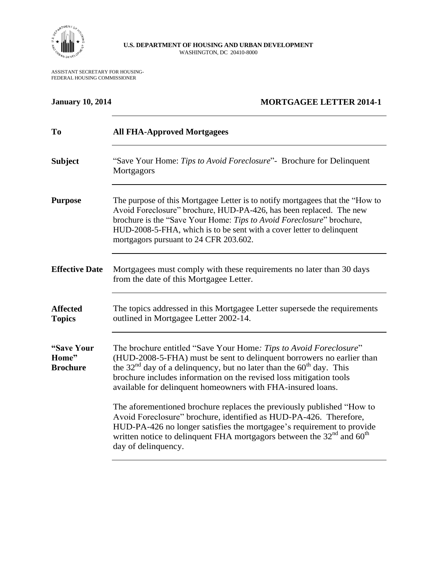

## **U.S. DEPARTMENT OF HOUSING AND URBAN DEVELOPMENT** WASHINGTON, DC 20410-8000

ASSISTANT SECRETARY FOR HOUSING-FEDERAL HOUSING COMMISSIONER

## **January 10, 2014 MORTGAGEE LETTER 2014-1**

| To                                     | <b>All FHA-Approved Mortgagees</b>                                                                                                                                                                                                                                                                                                                         |
|----------------------------------------|------------------------------------------------------------------------------------------------------------------------------------------------------------------------------------------------------------------------------------------------------------------------------------------------------------------------------------------------------------|
| <b>Subject</b>                         | "Save Your Home: Tips to Avoid Foreclosure" - Brochure for Delinquent<br>Mortgagors                                                                                                                                                                                                                                                                        |
| <b>Purpose</b>                         | The purpose of this Mortgagee Letter is to notify mortgagees that the "How to<br>Avoid Foreclosure" brochure, HUD-PA-426, has been replaced. The new<br>brochure is the "Save Your Home: Tips to Avoid Foreclosure" brochure,<br>HUD-2008-5-FHA, which is to be sent with a cover letter to delinquent<br>mortgagors pursuant to 24 CFR 203.602.           |
| <b>Effective Date</b>                  | Mortgagees must comply with these requirements no later than 30 days<br>from the date of this Mortgagee Letter.                                                                                                                                                                                                                                            |
| <b>Affected</b><br><b>Topics</b>       | The topics addressed in this Mortgagee Letter supersede the requirements<br>outlined in Mortgagee Letter 2002-14.                                                                                                                                                                                                                                          |
| "Save Your<br>Home"<br><b>Brochure</b> | The brochure entitled "Save Your Home: Tips to Avoid Foreclosure"<br>(HUD-2008-5-FHA) must be sent to delinquent borrowers no earlier than<br>the $32nd$ day of a delinquency, but no later than the $60th$ day. This<br>brochure includes information on the revised loss mitigation tools<br>available for delinquent homeowners with FHA-insured loans. |
|                                        | The aforementioned brochure replaces the previously published "How to<br>Avoid Foreclosure" brochure, identified as HUD-PA-426. Therefore,<br>HUD-PA-426 no longer satisfies the mortgagee's requirement to provide<br>written notice to delinquent FHA mortgagors between the $32nd$ and $60th$<br>day of delinquency.                                    |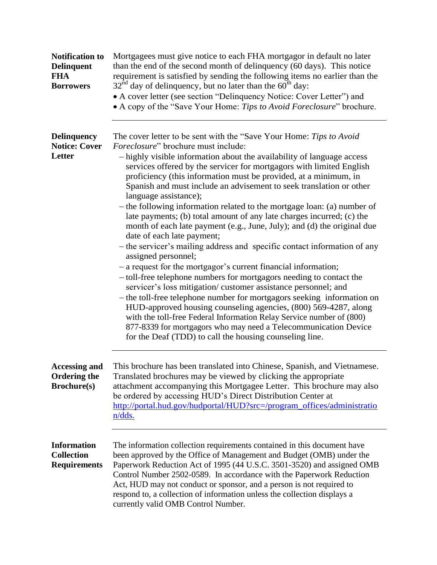| <b>Notification to</b><br><b>Delinquent</b><br><b>FHA</b><br><b>Borrowers</b> | Mortgagees must give notice to each FHA mortgagor in default no later<br>than the end of the second month of delinquency (60 days). This notice<br>requirement is satisfied by sending the following items no earlier than the<br>$32nd$ day of delinquency, but no later than the 60 <sup>th</sup> day:<br>• A cover letter (see section "Delinquency Notice: Cover Letter") and<br>• A copy of the "Save Your Home: Tips to Avoid Foreclosure" brochure.                                                                                                                                                                                                                                                                                                                                                                                                                                                                                                                                                                                                                                                                                                                                                                                                                                                                                                            |
|-------------------------------------------------------------------------------|-----------------------------------------------------------------------------------------------------------------------------------------------------------------------------------------------------------------------------------------------------------------------------------------------------------------------------------------------------------------------------------------------------------------------------------------------------------------------------------------------------------------------------------------------------------------------------------------------------------------------------------------------------------------------------------------------------------------------------------------------------------------------------------------------------------------------------------------------------------------------------------------------------------------------------------------------------------------------------------------------------------------------------------------------------------------------------------------------------------------------------------------------------------------------------------------------------------------------------------------------------------------------------------------------------------------------------------------------------------------------|
| <b>Delinquency</b><br><b>Notice: Cover</b><br>Letter                          | The cover letter to be sent with the "Save Your Home: Tips to Avoid<br><i>Foreclosure</i> " brochure must include:<br>- highly visible information about the availability of language access<br>services offered by the servicer for mortgagors with limited English<br>proficiency (this information must be provided, at a minimum, in<br>Spanish and must include an advisement to seek translation or other<br>language assistance);<br>- the following information related to the mortgage loan: (a) number of<br>late payments; (b) total amount of any late charges incurred; (c) the<br>month of each late payment (e.g., June, July); and (d) the original due<br>date of each late payment;<br>- the servicer's mailing address and specific contact information of any<br>assigned personnel;<br>- a request for the mortgagor's current financial information;<br>- toll-free telephone numbers for mortgagors needing to contact the<br>servicer's loss mitigation/customer assistance personnel; and<br>- the toll-free telephone number for mortgagors seeking information on<br>HUD-approved housing counseling agencies, (800) 569-4287, along<br>with the toll-free Federal Information Relay Service number of (800)<br>877-8339 for mortgagors who may need a Telecommunication Device<br>for the Deaf (TDD) to call the housing counseling line. |
| <b>Accessing and</b><br><b>Ordering the</b><br><b>Brochure(s)</b>             | This brochure has been translated into Chinese, Spanish, and Vietnamese.<br>Translated brochures may be viewed by clicking the appropriate<br>attachment accompanying this Mortgagee Letter. This brochure may also<br>be ordered by accessing HUD's Direct Distribution Center at<br>http://portal.hud.gov/hudportal/HUD?src=/program_offices/administratio<br>n/dds.                                                                                                                                                                                                                                                                                                                                                                                                                                                                                                                                                                                                                                                                                                                                                                                                                                                                                                                                                                                                |
| <b>Information</b><br><b>Collection</b><br><b>Requirements</b>                | The information collection requirements contained in this document have<br>been approved by the Office of Management and Budget (OMB) under the<br>Paperwork Reduction Act of 1995 (44 U.S.C. 3501-3520) and assigned OMB<br>Control Number 2502-0589. In accordance with the Paperwork Reduction<br>Act, HUD may not conduct or sponsor, and a person is not required to<br>respond to, a collection of information unless the collection displays a<br>currently valid OMB Control Number.                                                                                                                                                                                                                                                                                                                                                                                                                                                                                                                                                                                                                                                                                                                                                                                                                                                                          |